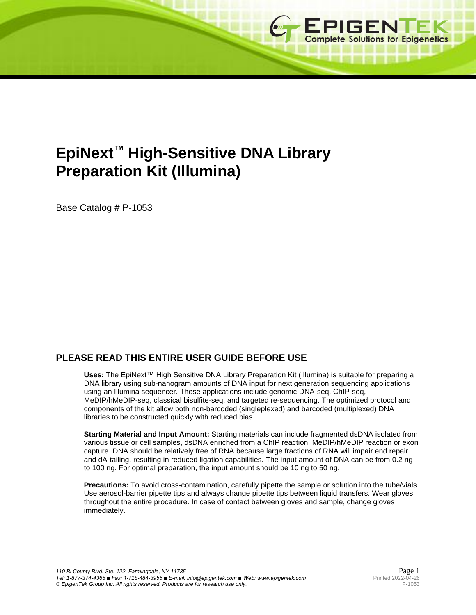

# **EpiNext™ High-Sensitive DNA Library Preparation Kit (Illumina)**

Base Catalog # P-1053

# **PLEASE READ THIS ENTIRE USER GUIDE BEFORE USE**

**Uses:** The EpiNext™ High Sensitive DNA Library Preparation Kit (Illumina) is suitable for preparing a DNA library using sub-nanogram amounts of DNA input for next generation sequencing applications using an Illumina sequencer. These applications include genomic DNA-seq, ChIP-seq, MeDIP/hMeDIP-seq, classical bisulfite-seq, and targeted re-sequencing. The optimized protocol and components of the kit allow both non-barcoded (singleplexed) and barcoded (multiplexed) DNA libraries to be constructed quickly with reduced bias.

**Starting Material and Input Amount:** Starting materials can include fragmented dsDNA isolated from various tissue or cell samples, dsDNA enriched from a ChIP reaction, MeDIP/hMeDIP reaction or exon capture. DNA should be relatively free of RNA because large fractions of RNA will impair end repair and dA-tailing, resulting in reduced ligation capabilities. The input amount of DNA can be from 0.2 ng to 100 ng. For optimal preparation, the input amount should be 10 ng to 50 ng.

**Precautions:** To avoid cross-contamination, carefully pipette the sample or solution into the tube/vials. Use aerosol-barrier pipette tips and always change pipette tips between liquid transfers. Wear gloves throughout the entire procedure. In case of contact between gloves and sample, change gloves immediately.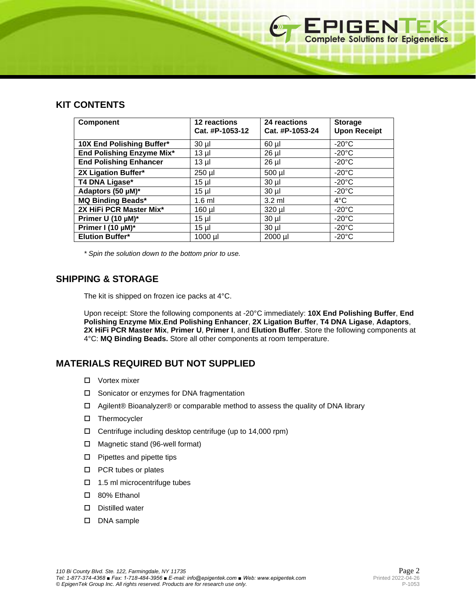## **KIT CONTENTS**

| <b>Component</b>              | 12 reactions<br>Cat. #P-1053-12 | 24 reactions<br>Cat. #P-1053-24 | <b>Storage</b><br><b>Upon Receipt</b> |
|-------------------------------|---------------------------------|---------------------------------|---------------------------------------|
| 10X End Polishing Buffer*     | $30 \mu$                        | $60$ $\mu$                      | $-20^{\circ}$ C                       |
| End Polishing Enzyme Mix*     | $13$ µ $\vert$                  | $26$ $\mu$                      | $-20^{\circ}$ C                       |
| <b>End Polishing Enhancer</b> | $13 \mu$                        | 26 µl                           | $-20^{\circ}$ C                       |
| 2X Ligation Buffer*           | 250 µl                          | 500 µl                          | $-20^{\circ}$ C                       |
| T4 DNA Ligase*                | $15 \mu$                        | $30 \mu$                        | $-20^{\circ}$ C                       |
| Adaptors (50 µM)*             | $15$ µl                         | $30 \mu$                        | $-20^{\circ}$ C                       |
| <b>MQ Binding Beads*</b>      | $1.6$ ml                        | $3.2 \text{ ml}$                | $4^{\circ}$ C                         |
| 2X HiFi PCR Master Mix*       | 160 µl                          | 320 µl                          | $-20^{\circ}$ C                       |
| Primer U (10 µM)*             | $15 \mu$                        | $30$ $\mu$                      | $-20^{\circ}$ C                       |
| Primer I (10 µM)*             | $15 \mu$                        | $30 \mu$                        | $-20^{\circ}$ C                       |
| <b>Elution Buffer*</b>        | $1000$ µl                       | 2000 µl                         | $-20^{\circ}$ C                       |

*\* Spin the solution down to the bottom prior to use.*

## **SHIPPING & STORAGE**

The kit is shipped on frozen ice packs at 4°C.

Upon receipt: Store the following components at -20°C immediately: **10X End Polishing Buffer**, **End Polishing Enzyme Mix**,**End Polishing Enhancer**, **2X Ligation Buffer**, **T4 DNA Ligase**, **Adaptors**, **2X HiFi PCR Master Mix**, **Primer U**, **Primer I**, and **Elution Buffer**. Store the following components at 4°C: **MQ Binding Beads.** Store all other components at room temperature.

# **MATERIALS REQUIRED BUT NOT SUPPLIED**

- □ Vortex mixer
- □ Sonicator or enzymes for DNA fragmentation
- Agilent® Bioanalyzer® or comparable method to assess the quality of DNA library
- Thermocycler
- Centrifuge including desktop centrifuge (up to 14,000 rpm)
- Magnetic stand (96-well format)
- $\square$  Pipettes and pipette tips
- □ PCR tubes or plates
- $\Box$  1.5 ml microcentrifuge tubes
- 80% Ethanol
- Distilled water
- DNA sample

EPIGENTEK<br>Complete Solutions for Epigenetics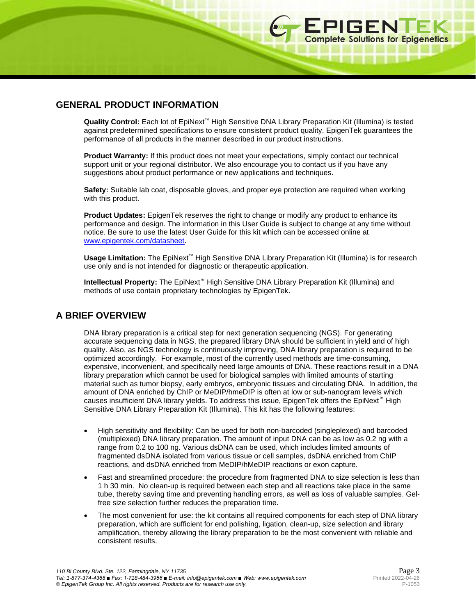10000000000000000000

## **GENERAL PRODUCT INFORMATION**

**Quality Control:** Each lot of EpiNext™ High Sensitive DNA Library Preparation Kit (Illumina) is tested against predetermined specifications to ensure consistent product quality. EpigenTek guarantees the performance of all products in the manner described in our product instructions.

**Product Warranty:** If this product does not meet your expectations, simply contact our technical support unit or your regional distributor. We also encourage you to contact us if you have any suggestions about product performance or new applications and techniques.

**Safety:** Suitable lab coat, disposable gloves, and proper eye protection are required when working with this product.

**Product Updates:** EpigenTek reserves the right to change or modify any product to enhance its performance and design. The information in this User Guide is subject to change at any time without notice. Be sure to use the latest User Guide for this kit which can be accessed online at [www.epigentek.com/datasheet.](http://www.epigentek.com/datasheet)

**Usage Limitation:** The EpiNext™ High Sensitive DNA Library Preparation Kit (Illumina) is for research use only and is not intended for diagnostic or therapeutic application.

**Intellectual Property:** The EpiNext™ High Sensitive DNA Library Preparation Kit (Illumina) and methods of use contain proprietary technologies by EpigenTek.

## **A BRIEF OVERVIEW**

DNA library preparation is a critical step for next generation sequencing (NGS). For generating accurate sequencing data in NGS, the prepared library DNA should be sufficient in yield and of high quality. Also, as NGS technology is continuously improving, DNA library preparation is required to be optimized accordingly. For example, most of the currently used methods are time-consuming, expensive, inconvenient, and specifically need large amounts of DNA. These reactions result in a DNA library preparation which cannot be used for biological samples with limited amounts of starting material such as tumor biopsy, early embryos, embryonic tissues and circulating DNA. In addition, the amount of DNA enriched by ChIP or MeDIP/hmeDIP is often at low or sub-nanogram levels which causes insufficient DNA library yields. To address this issue, EpigenTek offers the EpiNext™ High Sensitive DNA Library Preparation Kit (Illumina). This kit has the following features:

- High sensitivity and flexibility: Can be used for both non-barcoded (singleplexed) and barcoded (multiplexed) DNA library preparation. The amount of input DNA can be as low as 0.2 ng with a range from 0.2 to 100 ng. Various dsDNA can be used, which includes limited amounts of fragmented dsDNA isolated from various tissue or cell samples, dsDNA enriched from ChIP reactions, and dsDNA enriched from MeDIP/hMeDIP reactions or exon capture.
- Fast and streamlined procedure: the procedure from fragmented DNA to size selection is less than 1 h 30 min. No clean-up is required between each step and all reactions take place in the same tube, thereby saving time and preventing handling errors, as well as loss of valuable samples. Gelfree size selection further reduces the preparation time.
- The most convenient for use: the kit contains all required components for each step of DNA library preparation, which are sufficient for end polishing, ligation, clean-up, size selection and library amplification, thereby allowing the library preparation to be the most convenient with reliable and consistent results.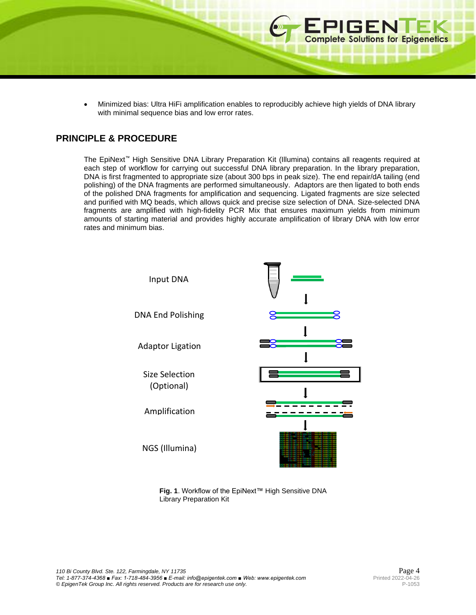• Minimized bias: Ultra HiFi amplification enables to reproducibly achieve high yields of DNA library with minimal sequence bias and low error rates.

## **PRINCIPLE & PROCEDURE**

The EpiNext™ High Sensitive DNA Library Preparation Kit (Illumina) contains all reagents required at each step of workflow for carrying out successful DNA library preparation. In the library preparation, DNA is first fragmented to appropriate size (about 300 bps in peak size). The end repair/dA tailing (end polishing) of the DNA fragments are performed simultaneously. Adaptors are then ligated to both ends of the polished DNA fragments for amplification and sequencing. Ligated fragments are size selected and purified with MQ beads, which allows quick and precise size selection of DNA. Size-selected DNA fragments are amplified with high-fidelity PCR Mix that ensures maximum yields from minimum amounts of starting material and provides highly accurate amplification of library DNA with low error rates and minimum bias.



**Fig. 1**. Workflow of the EpiNext™ High Sensitive DNA Library Preparation Kit

**EPIGENTEK**<br> **Complete Solutions for Epigenetics** 

. . . . . . . . .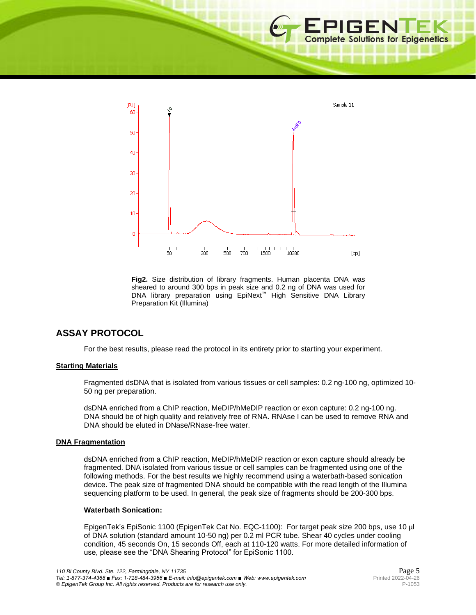

**Fig2.** Size distribution of library fragments. Human placenta DNA was sheared to around 300 bps in peak size and 0.2 ng of DNA was used for DNA library preparation using EpiNext™ High Sensitive DNA Library Preparation Kit (Illumina)

# **ASSAY PROTOCOL**

For the best results, please read the protocol in its entirety prior to starting your experiment.

### **Starting Materials**

Fragmented dsDNA that is isolated from various tissues or cell samples: 0.2 ng-100 ng, optimized 10- 50 ng per preparation.

dsDNA enriched from a ChIP reaction, MeDIP/hMeDIP reaction or exon capture: 0.2 ng-100 ng. DNA should be of high quality and relatively free of RNA. RNAse I can be used to remove RNA and DNA should be eluted in DNase/RNase-free water.

#### **DNA Fragmentation**

dsDNA enriched from a ChIP reaction, MeDIP/hMeDIP reaction or exon capture should already be fragmented. DNA isolated from various tissue or cell samples can be fragmented using one of the following methods. For the best results we highly recommend using a waterbath-based sonication device. The peak size of fragmented DNA should be compatible with the read length of the Illumina sequencing platform to be used. In general, the peak size of fragments should be 200-300 bps.

## **Waterbath Sonication:**

EpigenTek's EpiSonic 1100 (EpigenTek Cat No. EQC-1100): For target peak size 200 bps, use 10 µl of DNA solution (standard amount 10-50 ng) per 0.2 ml PCR tube. Shear 40 cycles under cooling condition, 45 seconds On, 15 seconds Off, each at 110-120 watts. For more detailed information of use, please see the "DNA Shearing Protocol" for EpiSonic 1100.

**EPIGENTEK**<br> **Complete Solutions for Epigenetics** 

■ 照 印 編 印 画 四 冊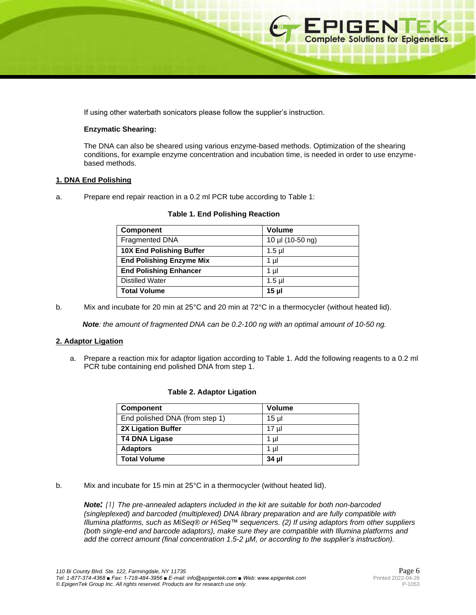If using other waterbath sonicators please follow the supplier's instruction.

#### **Enzymatic Shearing:**

The DNA can also be sheared using various enzyme-based methods. Optimization of the shearing conditions, for example enzyme concentration and incubation time, is needed in order to use enzymebased methods.

#### **1. DNA End Polishing**

a. Prepare end repair reaction in a 0.2 ml PCR tube according to Table 1:

| <b>Component</b>                | <b>Volume</b>    |
|---------------------------------|------------------|
| Fragmented DNA                  | 10 µl (10-50 ng) |
| <b>10X End Polishing Buffer</b> | $1.5$ µl         |
| <b>End Polishing Enzyme Mix</b> | 1 µl             |
| <b>End Polishing Enhancer</b>   | 1 µI             |
| <b>Distilled Water</b>          | $1.5$ µl         |
| <b>Total Volume</b>             | 15 <sub>µ</sub>  |

#### **Table 1. End Polishing Reaction**

b. Mix and incubate for 20 min at 25°C and 20 min at 72°C in a thermocycler (without heated lid).

 *Note: the amount of fragmented DNA can be 0.2-100 ng with an optimal amount of 10-50 ng.*

### **2. Adaptor Ligation**

a. Prepare a reaction mix for adaptor ligation according to Table 1. Add the following reagents to a 0.2 ml PCR tube containing end polished DNA from step 1.

| <b>Component</b>               | <b>Volume</b> |  |
|--------------------------------|---------------|--|
| End polished DNA (from step 1) | $15$ µl       |  |
| <b>2X Ligation Buffer</b>      | $17 \mu$      |  |
| <b>T4 DNA Ligase</b>           | 1 µl          |  |
| <b>Adaptors</b>                | 1 ul          |  |
| <b>Total Volume</b>            | 34 µl         |  |

#### **Table 2. Adaptor Ligation**

b. Mix and incubate for 15 min at 25°C in a thermocycler (without heated lid).

*Note: (1) The pre-annealed adapters included in the kit are suitable for both non-barcoded (singleplexed) and barcoded (multiplexed) DNA library preparation and are fully compatible with Illumina platforms, such as MiSeq® or HiSeq™ sequencers. (2) If using adaptors from other suppliers (both single-end and barcode adaptors), make sure they are compatible with Illumina platforms and add the correct amount (final concentration 1.5-2 µM, or according to the supplier's instruction).*

**EPIGENTEK**<br> **Complete Solutions for Epigenetics** 

□ 照 四 ■ 四 ■ 四 四 ■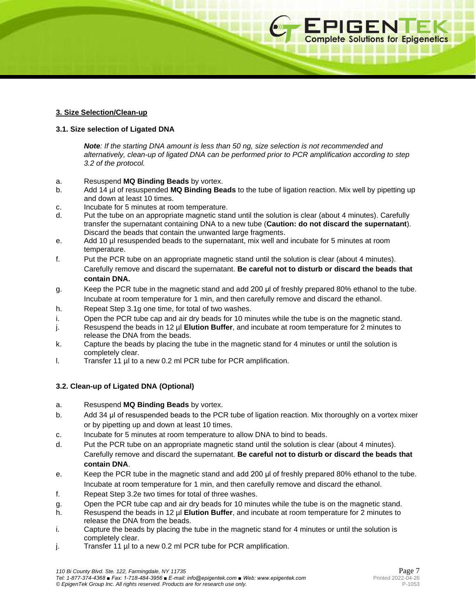## **3. Size Selection/Clean-up**

## **3.1. Size selection of Ligated DNA**

*Note: If the starting DNA amount is less than 50 ng, size selection is not recommended and alternatively, clean-up of ligated DNA can be performed prior to PCR amplification according to step 3.2 of the protocol.*

- a. Resuspend **MQ Binding Beads** by vortex.
- b. Add 14 µl of resuspended **MQ Binding Beads** to the tube of ligation reaction. Mix well by pipetting up and down at least 10 times.
- c. Incubate for 5 minutes at room temperature.
- d. Put the tube on an appropriate magnetic stand until the solution is clear (about 4 minutes). Carefully transfer the supernatant containing DNA to a new tube (**Caution: do not discard the supernatant**). Discard the beads that contain the unwanted large fragments.
- e. Add 10 µl resuspended beads to the supernatant, mix well and incubate for 5 minutes at room temperature.
- f. Put the PCR tube on an appropriate magnetic stand until the solution is clear (about 4 minutes). Carefully remove and discard the supernatant. **Be careful not to disturb or discard the beads that contain DNA.**
- g. Keep the PCR tube in the magnetic stand and add 200 μl of freshly prepared 80% ethanol to the tube. Incubate at room temperature for 1 min, and then carefully remove and discard the ethanol.
- h. Repeat Step 3.1g one time, for total of two washes.
- i. Open the PCR tube cap and air dry beads for 10 minutes while the tube is on the magnetic stand.
- j. Resuspend the beads in 12 µl **Elution Buffer**, and incubate at room temperature for 2 minutes to release the DNA from the beads.
- k. Capture the beads by placing the tube in the magnetic stand for 4 minutes or until the solution is completely clear.
- l. Transfer 11 µl to a new 0.2 ml PCR tube for PCR amplification.

## **3.2. Clean-up of Ligated DNA (Optional)**

- a. Resuspend **MQ Binding Beads** by vortex.
- b. Add 34 μl of resuspended beads to the PCR tube of ligation reaction. Mix thoroughly on a vortex mixer or by pipetting up and down at least 10 times.
- c. Incubate for 5 minutes at room temperature to allow DNA to bind to beads.
- d. Put the PCR tube on an appropriate magnetic stand until the solution is clear (about 4 minutes). Carefully remove and discard the supernatant. **Be careful not to disturb or discard the beads that contain DNA**.
- e. Keep the PCR tube in the magnetic stand and add 200 μl of freshly prepared 80% ethanol to the tube. Incubate at room temperature for 1 min, and then carefully remove and discard the ethanol.
- f. Repeat Step 3.2e two times for total of three washes.
- g. Open the PCR tube cap and air dry beads for 10 minutes while the tube is on the magnetic stand.
- h. Resuspend the beads in 12 µl **Elution Buffer**, and incubate at room temperature for 2 minutes to release the DNA from the beads.
- i. Capture the beads by placing the tube in the magnetic stand for 4 minutes or until the solution is completely clear.
- j. Transfer 11 µl to a new 0.2 ml PCR tube for PCR amplification.

**EPIGENTEK**<br>Complete Solutions for Epigenetics

\_\_\_\_\_\_\_\_\_\_\_\_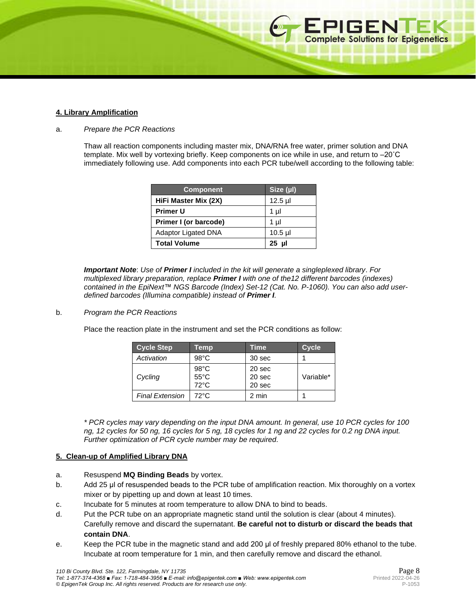#### **4. Library Amplification**

#### a. *Prepare the PCR Reactions*

Thaw all reaction components including master mix, DNA/RNA free water, primer solution and DNA template. Mix well by vortexing briefly. Keep components on ice while in use, and return to –20˚C immediately following use. Add components into each PCR tube/well according to the following table:

| <b>Component</b>           | Size (µ) |
|----------------------------|----------|
| HiFi Master Mix (2X)       | $12.5$ µ |
| <b>Primer U</b>            | 1 µl     |
| Primer I (or barcode)      | 1 µl     |
| <b>Adaptor Ligated DNA</b> | $10.5$ µ |
| <b>Total Volume</b>        | $25$ µl  |

*Important Note*: *Use of Primer I included in the kit will generate a singleplexed library*. *For multiplexed library preparation, replace Primer I with one of the12 different barcodes (indexes) contained in the EpiNext™ NGS Barcode (Index) Set-12 (Cat. No. P-1060). You can also add userdefined barcodes (Illumina compatible) instead of Primer I.*

### b. *Program the PCR Reactions*

Place the reaction plate in the instrument and set the PCR conditions as follow:

| <b>Cycle Step</b>      | Temp                                               | Time                       | <b>Cycle</b> |
|------------------------|----------------------------------------------------|----------------------------|--------------|
| Activation             | $98^{\circ}$ C                                     | 30 sec                     |              |
| Cycling                | $98^{\circ}$ C<br>$55^{\circ}$ C<br>$72^{\circ}$ C | 20 sec<br>20 sec<br>20 sec | Variable*    |
| <b>Final Extension</b> | $72^{\circ}$ C                                     | 2 min                      |              |

*\* PCR cycles may vary depending on the input DNA amount. In general, use 10 PCR cycles for 100 ng, 12 cycles for 50 ng, 16 cycles for 5 ng, 18 cycles for 1 ng and 22 cycles for 0.2 ng DNA input. Further optimization of PCR cycle number may be required.*

### **5. Clean-up of Amplified Library DNA**

- a. Resuspend **MQ Binding Beads** by vortex.
- b. Add 25 µl of resuspended beads to the PCR tube of amplification reaction. Mix thoroughly on a vortex mixer or by pipetting up and down at least 10 times.
- c. Incubate for 5 minutes at room temperature to allow DNA to bind to beads.
- d. Put the PCR tube on an appropriate magnetic stand until the solution is clear (about 4 minutes). Carefully remove and discard the supernatant. **Be careful not to disturb or discard the beads that contain DNA**.
- e. Keep the PCR tube in the magnetic stand and add 200 μl of freshly prepared 80% ethanol to the tube. Incubate at room temperature for 1 min, and then carefully remove and discard the ethanol.

**EPIGENTEK**<br>Complete Solutions for Epigenetics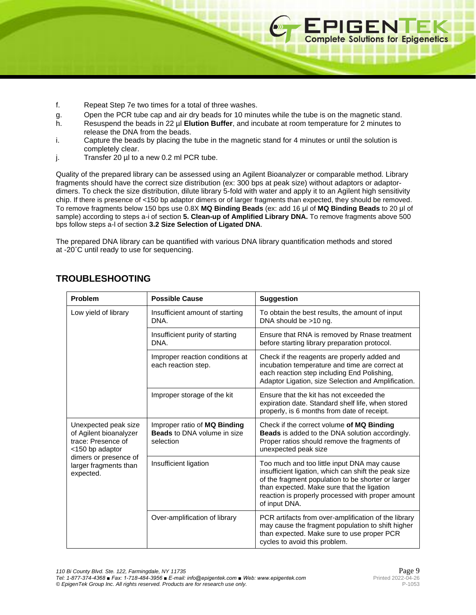- f. Repeat Step 7e two times for a total of three washes.
- g. Open the PCR tube cap and air dry beads for 10 minutes while the tube is on the magnetic stand.
- h. Resuspend the beads in 22 µl **Elution Buffer**, and incubate at room temperature for 2 minutes to release the DNA from the beads.
- i. Capture the beads by placing the tube in the magnetic stand for 4 minutes or until the solution is completely clear.
- j. Transfer 20 µl to a new 0.2 ml PCR tube.

Quality of the prepared library can be assessed using an Agilent Bioanalyzer or comparable method. Library fragments should have the correct size distribution (ex: 300 bps at peak size) without adaptors or adaptordimers. To check the size distribution, dilute library 5-fold with water and apply it to an Agilent high sensitivity chip. If there is presence of <150 bp adaptor dimers or of larger fragments than expected, they should be removed. To remove fragments below 150 bps use 0.8X **MQ Binding Beads** (ex: add 16 μl of **MQ Binding Beads** to 20 μl of sample) according to steps a-i of section **5. Clean-up of Amplified Library DNA.** To remove fragments above 500 bps follow steps a-l of section **3.2 Size Selection of Ligated DNA**.

The prepared DNA library can be quantified with various DNA library quantification methods and stored at -20˚C until ready to use for sequencing.

| Problem                                                                                                                                                | <b>Possible Cause</b>                                                           | <b>Suggestion</b>                                                                                                                                                                                                                                                             |
|--------------------------------------------------------------------------------------------------------------------------------------------------------|---------------------------------------------------------------------------------|-------------------------------------------------------------------------------------------------------------------------------------------------------------------------------------------------------------------------------------------------------------------------------|
| Low yield of library                                                                                                                                   | Insufficient amount of starting<br>DNA.                                         | To obtain the best results, the amount of input<br>DNA should be >10 ng.                                                                                                                                                                                                      |
|                                                                                                                                                        | Insufficient purity of starting<br>DNA.                                         | Ensure that RNA is removed by Rnase treatment<br>before starting library preparation protocol.                                                                                                                                                                                |
|                                                                                                                                                        | Improper reaction conditions at<br>each reaction step.                          | Check if the reagents are properly added and<br>incubation temperature and time are correct at<br>each reaction step including End Polishing,<br>Adaptor Ligation, size Selection and Amplification.                                                                          |
|                                                                                                                                                        | Improper storage of the kit                                                     | Ensure that the kit has not exceeded the<br>expiration date. Standard shelf life, when stored<br>properly, is 6 months from date of receipt.                                                                                                                                  |
| Unexpected peak size<br>of Agilent bioanalyzer<br>trace: Presence of<br><150 bp adaptor<br>dimers or presence of<br>larger fragments than<br>expected. | Improper ratio of MQ Binding<br><b>Beads</b> to DNA volume in size<br>selection | Check if the correct volume of MQ Binding<br>Beads is added to the DNA solution accordingly.<br>Proper ratios should remove the fragments of<br>unexpected peak size                                                                                                          |
|                                                                                                                                                        | Insufficient ligation                                                           | Too much and too little input DNA may cause<br>insufficient ligation, which can shift the peak size<br>of the fragment population to be shorter or larger<br>than expected. Make sure that the ligation<br>reaction is properly processed with proper amount<br>of input DNA. |
|                                                                                                                                                        | Over-amplification of library                                                   | PCR artifacts from over-amplification of the library<br>may cause the fragment population to shift higher<br>than expected. Make sure to use proper PCR<br>cycles to avoid this problem.                                                                                      |

# **TROUBLESHOOTING**

EPIGENTEK<br>Complete Solutions for Epigenetics